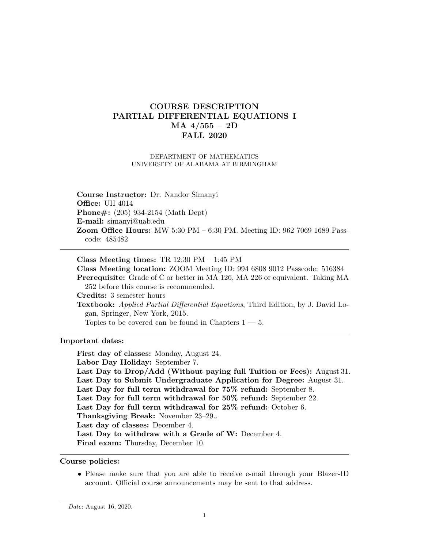# COURSE DESCRIPTION PARTIAL DIFFERENTIAL EQUATIONS I  $MA$  4/555 – 2D FALL 2020

#### DEPARTMENT OF MATHEMATICS UNIVERSITY OF ALABAMA AT BIRMINGHAM

Course Instructor: Dr. Nandor Simanyi **Office: UH 4014** Phone#: (205) 934-2154 (Math Dept) E-mail: simanyi@uab.edu Zoom Office Hours: MW 5:30 PM – 6:30 PM. Meeting ID: 962 7069 1689 Passcode: 485482

Class Meeting times: TR 12:30 PM – 1:45 PM Class Meeting location: ZOOM Meeting ID: 994 6808 9012 Passcode: 516384 Prerequisite: Grade of C or better in MA 126, MA 226 or equivalent. Taking MA 252 before this course is recommended. Credits: 3 semester hours Textbook: Applied Partial Differential Equations, Third Edition, by J. David Logan, Springer, New York, 2015. Topics to be covered can be found in Chapters  $1 - 5$ .

#### Important dates:

First day of classes: Monday, August 24. Labor Day Holiday: September 7. Last Day to Drop/Add (Without paying full Tuition or Fees): August 31. Last Day to Submit Undergraduate Application for Degree: August 31. Last Day for full term withdrawal for 75% refund: September 8. Last Day for full term withdrawal for 50% refund: September 22. Last Day for full term withdrawal for 25% refund: October 6. Thanksgiving Break: November 23–29.. Last day of classes: December 4. Last Day to withdraw with a Grade of W: December 4. Final exam: Thursday, December 10.

## Course policies:

• Please make sure that you are able to receive e-mail through your Blazer-ID account. Official course announcements may be sent to that address.

Date: August 16, 2020.